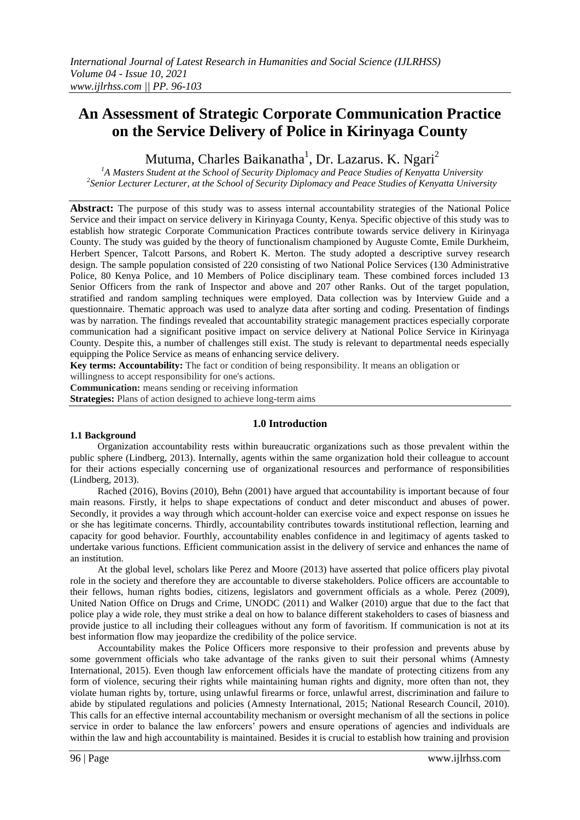# **An Assessment of Strategic Corporate Communication Practice on the Service Delivery of Police in Kirinyaga County**

Mutuma, Charles Baikanatha $^{\rm l}$ , Dr. Lazarus. K. Ngari $^{\rm 2}$ 

<sup>1</sup>A Masters Student at the School of Security Diplomacy and Peace Studies of Kenyatta University *2 Senior Lecturer Lecturer, at the School of Security Diplomacy and Peace Studies of Kenyatta University*

**Abstract:** The purpose of this study was to assess internal accountability strategies of the National Police Service and their impact on service delivery in Kirinyaga County, Kenya. Specific objective of this study was to establish how strategic Corporate Communication Practices contribute towards service delivery in Kirinyaga County. The study was guided by the theory of functionalism championed by Auguste Comte, Emile Durkheim, Herbert Spencer, Talcott Parsons, and Robert K. Merton. The study adopted a descriptive survey research design. The sample population consisted of 220 consisting of two National Police Services (130 Administrative Police, 80 Kenya Police, and 10 Members of Police disciplinary team. These combined forces included 13 Senior Officers from the rank of Inspector and above and 207 other Ranks. Out of the target population, stratified and random sampling techniques were employed. Data collection was by Interview Guide and a questionnaire. Thematic approach was used to analyze data after sorting and coding. Presentation of findings was by narration. The findings revealed that accountability strategic management practices especially corporate communication had a significant positive impact on service delivery at National Police Service in Kirinyaga County. Despite this, a number of challenges still exist. The study is relevant to departmental needs especially equipping the Police Service as means of enhancing service delivery.

**Key terms: Accountability:** The fact or condition of being responsibility. It means an obligation or

willingness to accept responsibility for one's actions.

**Communication:** means sending or receiving information

**Strategies:** Plans of action designed to achieve long-term aims

#### **1.0 Introduction**

#### **1.1 Background**

Organization accountability rests within bureaucratic organizations such as those prevalent within the public sphere (Lindberg, 2013). Internally, agents within the same organization hold their colleague to account for their actions especially concerning use of organizational resources and performance of responsibilities (Lindberg, 2013).

Rached (2016), Bovins (2010), Behn (2001) have argued that accountability is important because of four main reasons. Firstly, it helps to shape expectations of conduct and deter misconduct and abuses of power. Secondly, it provides a way through which account-holder can exercise voice and expect response on issues he or she has legitimate concerns. Thirdly, accountability contributes towards institutional reflection, learning and capacity for good behavior. Fourthly, accountability enables confidence in and legitimacy of agents tasked to undertake various functions. Efficient communication assist in the delivery of service and enhances the name of an institution.

At the global level, scholars like Perez and Moore (2013) have asserted that police officers play pivotal role in the society and therefore they are accountable to diverse stakeholders. Police officers are accountable to their fellows, human rights bodies, citizens, legislators and government officials as a whole. Perez (2009), United Nation Office on Drugs and Crime, UNODC (2011) and Walker (2010) argue that due to the fact that police play a wide role, they must strike a deal on how to balance different stakeholders to cases of biasness and provide justice to all including their colleagues without any form of favoritism. If communication is not at its best information flow may jeopardize the credibility of the police service.

Accountability makes the Police Officers more responsive to their profession and prevents abuse by some government officials who take advantage of the ranks given to suit their personal whims (Amnesty International, 2015). Even though law enforcement officials have the mandate of protecting citizens from any form of violence, securing their rights while maintaining human rights and dignity, more often than not, they violate human rights by, torture, using unlawful firearms or force, unlawful arrest, discrimination and failure to abide by stipulated regulations and policies (Amnesty International, 2015; National Research Council, 2010). This calls for an effective internal accountability mechanism or oversight mechanism of all the sections in police service in order to balance the law enforcers" powers and ensure operations of agencies and individuals are within the law and high accountability is maintained. Besides it is crucial to establish how training and provision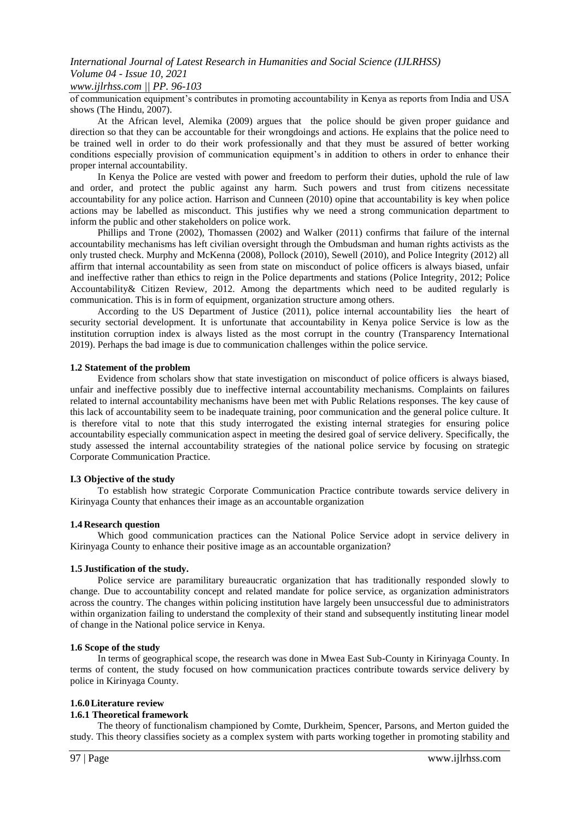#### *International Journal of Latest Research in Humanities and Social Science (IJLRHSS) Volume 04 - Issue 10, 2021 www.ijlrhss.com || PP. 96-103*

of communication equipment"s contributes in promoting accountability in Kenya as reports from India and USA shows (The Hindu, 2007).

At the African level, Alemika (2009) argues that the police should be given proper guidance and direction so that they can be accountable for their wrongdoings and actions. He explains that the police need to be trained well in order to do their work professionally and that they must be assured of better working conditions especially provision of communication equipment's in addition to others in order to enhance their proper internal accountability.

In Kenya the Police are vested with power and freedom to perform their duties, uphold the rule of law and order, and protect the public against any harm. Such powers and trust from citizens necessitate accountability for any police action. Harrison and Cunneen (2010) opine that accountability is key when police actions may be labelled as misconduct. This justifies why we need a strong communication department to inform the public and other stakeholders on police work.

Phillips and Trone (2002), Thomassen (2002) and Walker (2011) confirms that failure of the internal accountability mechanisms has left civilian oversight through the Ombudsman and human rights activists as the only trusted check. Murphy and McKenna (2008), Pollock (2010), Sewell (2010), and Police Integrity (2012) all affirm that internal accountability as seen from state on misconduct of police officers is always biased, unfair and ineffective rather than ethics to reign in the Police departments and stations (Police Integrity*,* 2012; Police Accountability& Citizen Review*,* 2012. Among the departments which need to be audited regularly is communication. This is in form of equipment, organization structure among others.

According to the US Department of Justice (2011), police internal accountability lies the heart of security sectorial development. It is unfortunate that accountability in Kenya police Service is low as the institution corruption index is always listed as the most corrupt in the country (Transparency International 2019). Perhaps the bad image is due to communication challenges within the police service.

#### **1.2 Statement of the problem**

Evidence from scholars show that state investigation on misconduct of police officers is always biased, unfair and ineffective possibly due to ineffective internal accountability mechanisms. Complaints on failures related to internal accountability mechanisms have been met with Public Relations responses. The key cause of this lack of accountability seem to be inadequate training, poor communication and the general police culture. It is therefore vital to note that this study interrogated the existing internal strategies for ensuring police accountability especially communication aspect in meeting the desired goal of service delivery. Specifically, the study assessed the internal accountability strategies of the national police service by focusing on strategic Corporate Communication Practice.

#### **I.3 Objective of the study**

To establish how strategic Corporate Communication Practice contribute towards service delivery in Kirinyaga County that enhances their image as an accountable organization

#### **1.4 Research question**

Which good communication practices can the National Police Service adopt in service delivery in Kirinyaga County to enhance their positive image as an accountable organization?

#### **1.5 Justification of the study.**

Police service are paramilitary bureaucratic organization that has traditionally responded slowly to change. Due to accountability concept and related mandate for police service, as organization administrators across the country. The changes within policing institution have largely been unsuccessful due to administrators within organization failing to understand the complexity of their stand and subsequently instituting linear model of change in the National police service in Kenya.

#### **1.6 Scope of the study**

In terms of geographical scope, the research was done in Mwea East Sub-County in Kirinyaga County. In terms of content, the study focused on how communication practices contribute towards service delivery by police in Kirinyaga County.

#### **1.6.0Literature review**

#### **1.6.1 Theoretical framework**

The theory of functionalism championed by Comte, Durkheim, Spencer, Parsons, and Merton guided the study. This theory classifies society as a complex system with parts working together in promoting stability and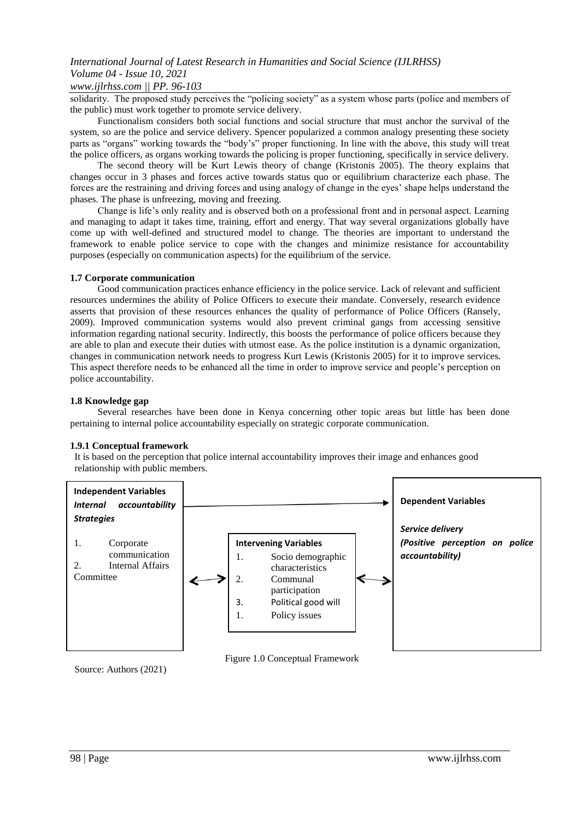## *www.ijlrhss.com || PP. 96-103*

solidarity. The proposed study perceives the "policing society" as a system whose parts (police and members of the public) must work together to promote service delivery.

Functionalism considers both social functions and social structure that must anchor the survival of the system, so are the police and service delivery. Spencer popularized a common analogy presenting these society parts as "organs" working towards the "body"s" proper functioning. In line with the above, this study will treat the police officers, as organs working towards the policing is proper functioning, specifically in service delivery.

The second theory will be Kurt Lewis theory of change (Kristonis 2005). The theory explains that changes occur in 3 phases and forces active towards status quo or equilibrium characterize each phase. The forces are the restraining and driving forces and using analogy of change in the eyes" shape helps understand the phases. The phase is unfreezing, moving and freezing.

Change is life"s only reality and is observed both on a professional front and in personal aspect. Learning and managing to adapt it takes time, training, effort and energy. That way several organizations globally have come up with well-defined and structured model to change. The theories are important to understand the framework to enable police service to cope with the changes and minimize resistance for accountability purposes (especially on communication aspects) for the equilibrium of the service.

#### **1.7 Corporate communication**

Good communication practices enhance efficiency in the police service. Lack of relevant and sufficient resources undermines the ability of Police Officers to execute their mandate. Conversely, research evidence asserts that provision of these resources enhances the quality of performance of Police Officers (Ransely, 2009). Improved communication systems would also prevent criminal gangs from accessing sensitive information regarding national security. Indirectly, this boosts the performance of police officers because they are able to plan and execute their duties with utmost ease. As the police institution is a dynamic organization, changes in communication network needs to progress Kurt Lewis (Kristonis 2005) for it to improve services. This aspect therefore needs to be enhanced all the time in order to improve service and people"s perception on police accountability.

#### **1.8 Knowledge gap**

Several researches have been done in Kenya concerning other topic areas but little has been done pertaining to internal police accountability especially on strategic corporate communication.

#### **1.9.1 Conceptual framework**

It is based on the perception that police internal accountability improves their image and enhances good relationship with public members.



Source: Authors (2021)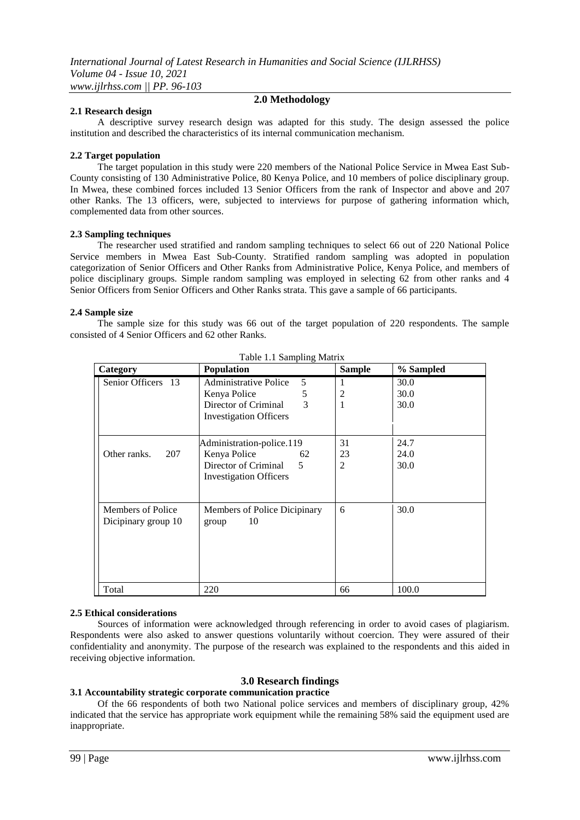#### **2.1 Research design**

### **2.0 Methodology**

A descriptive survey research design was adapted for this study. The design assessed the police institution and described the characteristics of its internal communication mechanism.

#### **2.2 Target population**

The target population in this study were 220 members of the National Police Service in Mwea East Sub-County consisting of 130 Administrative Police, 80 Kenya Police, and 10 members of police disciplinary group. In Mwea, these combined forces included 13 Senior Officers from the rank of Inspector and above and 207 other Ranks. The 13 officers, were, subjected to interviews for purpose of gathering information which, complemented data from other sources.

#### **2.3 Sampling techniques**

The researcher used stratified and random sampling techniques to select 66 out of 220 National Police Service members in Mwea East Sub-County. Stratified random sampling was adopted in population categorization of Senior Officers and Other Ranks from Administrative Police, Kenya Police, and members of police disciplinary groups. Simple random sampling was employed in selecting 62 from other ranks and 4 Senior Officers from Senior Officers and Other Ranks strata. This gave a sample of 66 participants.

#### **2.4 Sample size**

The sample size for this study was 66 out of the target population of 220 respondents. The sample consisted of 4 Senior Officers and 62 other Ranks.

| Category                                 | <b>Population</b>                           | <b>Sample</b> | % Sampled |
|------------------------------------------|---------------------------------------------|---------------|-----------|
| Senior Officers 13                       | <b>Administrative Police</b><br>5           | 1             | 30.0      |
|                                          | 5<br>Kenya Police                           | 2             | 30.0      |
|                                          | 3<br>Director of Criminal                   | 1             | 30.0      |
|                                          | <b>Investigation Officers</b>               |               |           |
|                                          | Administration-police.119                   | 31            | 24.7      |
| Other ranks.<br>207                      | Kenya Police<br>62                          | 23            | 24.0      |
|                                          | Director of Criminal<br>5                   | 2             | 30.0      |
|                                          | <b>Investigation Officers</b>               |               |           |
| Members of Police<br>Dicipinary group 10 | Members of Police Dicipinary<br>10<br>group | 6             | 30.0      |
|                                          |                                             |               |           |
| Total                                    | 220                                         | 66            | 100.0     |

Table 1.1 Sampling Matrix

#### **2.5 Ethical considerations**

Sources of information were acknowledged through referencing in order to avoid cases of plagiarism. Respondents were also asked to answer questions voluntarily without coercion. They were assured of their confidentiality and anonymity. The purpose of the research was explained to the respondents and this aided in receiving objective information.

#### **3.0 Research findings**

#### **3.1 Accountability strategic corporate communication practice**

Of the 66 respondents of both two National police services and members of disciplinary group, 42% indicated that the service has appropriate work equipment while the remaining 58% said the equipment used are inappropriate.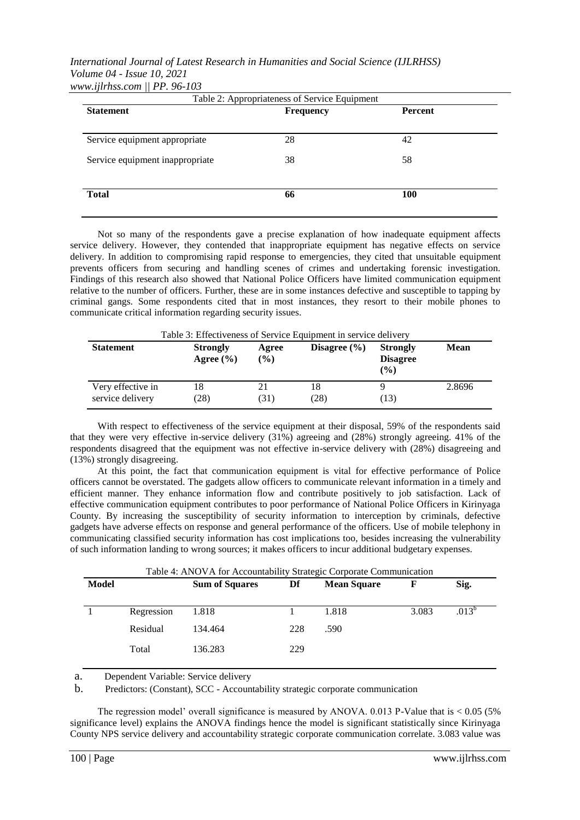#### *International Journal of Latest Research in Humanities and Social Science (IJLRHSS) Volume 04 - Issue 10, 2021 www.ijlrhss.com || PP. 96-103*

| Table 2: Appropriateness of Service Equipment |                  |            |  |  |
|-----------------------------------------------|------------------|------------|--|--|
| <b>Statement</b>                              | <b>Frequency</b> | Percent    |  |  |
|                                               |                  |            |  |  |
| Service equipment appropriate                 | 28               | 42         |  |  |
| Service equipment inappropriate               | 38               | 58         |  |  |
| <b>Total</b>                                  | 66               | <b>100</b> |  |  |

Not so many of the respondents gave a precise explanation of how inadequate equipment affects service delivery. However, they contended that inappropriate equipment has negative effects on service delivery. In addition to compromising rapid response to emergencies, they cited that unsuitable equipment prevents officers from securing and handling scenes of crimes and undertaking forensic investigation. Findings of this research also showed that National Police Officers have limited communication equipment relative to the number of officers. Further, these are in some instances defective and susceptible to tapping by criminal gangs. Some respondents cited that in most instances, they resort to their mobile phones to communicate critical information regarding security issues.

| <b>Statement</b>                      | <b>Strongly</b><br>Agree $(\% )$ | Agree<br>$($ %) | Disagree $(\% )$ | <b>Strongly</b><br><b>Disagree</b><br>$\binom{0}{0}$ | <b>Mean</b> |
|---------------------------------------|----------------------------------|-----------------|------------------|------------------------------------------------------|-------------|
| Very effective in<br>service delivery | 18<br>(28)                       | 21<br>(31)      | 18<br>(28)       | (13)                                                 | 2.8696      |

With respect to effectiveness of the service equipment at their disposal, 59% of the respondents said that they were very effective in-service delivery (31%) agreeing and (28%) strongly agreeing. 41% of the respondents disagreed that the equipment was not effective in-service delivery with (28%) disagreeing and (13%) strongly disagreeing.

At this point, the fact that communication equipment is vital for effective performance of Police officers cannot be overstated. The gadgets allow officers to communicate relevant information in a timely and efficient manner. They enhance information flow and contribute positively to job satisfaction. Lack of effective communication equipment contributes to poor performance of National Police Officers in Kirinyaga County. By increasing the susceptibility of security information to interception by criminals, defective gadgets have adverse effects on response and general performance of the officers. Use of mobile telephony in communicating classified security information has cost implications too, besides increasing the vulnerability of such information landing to wrong sources; it makes officers to incur additional budgetary expenses.

| Table 4: ANOVA for Accountability Strategic Corporate Communication |            |                       |     |                    |       |            |
|---------------------------------------------------------------------|------------|-----------------------|-----|--------------------|-------|------------|
| <b>Model</b>                                                        |            | <b>Sum of Squares</b> | Df  | <b>Mean Square</b> | F     | Sig.       |
|                                                                     |            |                       |     |                    |       |            |
|                                                                     | Regression | 1.818                 |     | 1.818              | 3.083 | $.013^{b}$ |
|                                                                     | Residual   | 134.464               | 228 | .590               |       |            |
|                                                                     | Total      | 136.283               | 229 |                    |       |            |

a. Dependent Variable: Service delivery

b. Predictors: (Constant), SCC - Accountability strategic corporate communication

The regression model' overall significance is measured by ANOVA. 0.013 P-Value that is  $< 0.05$  (5%) significance level) explains the ANOVA findings hence the model is significant statistically since Kirinyaga County NPS service delivery and accountability strategic corporate communication correlate. 3.083 value was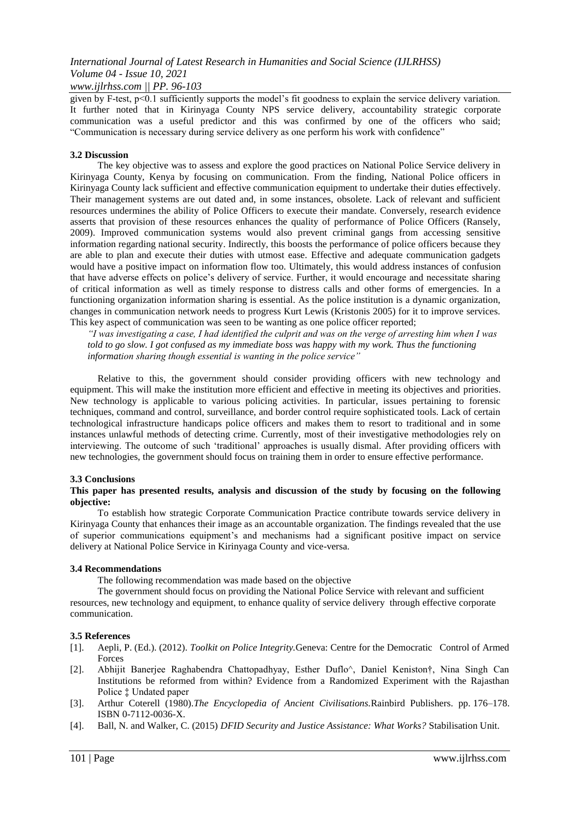*www.ijlrhss.com || PP. 96-103*

given by F-test, p<0.1 sufficiently supports the model"s fit goodness to explain the service delivery variation. It further noted that in Kirinyaga County NPS service delivery, accountability strategic corporate communication was a useful predictor and this was confirmed by one of the officers who said; "Communication is necessary during service delivery as one perform his work with confidence"

#### **3.2 Discussion**

The key objective was to assess and explore the good practices on National Police Service delivery in Kirinyaga County, Kenya by focusing on communication. From the finding, National Police officers in Kirinyaga County lack sufficient and effective communication equipment to undertake their duties effectively. Their management systems are out dated and, in some instances, obsolete. Lack of relevant and sufficient resources undermines the ability of Police Officers to execute their mandate. Conversely, research evidence asserts that provision of these resources enhances the quality of performance of Police Officers (Ransely, 2009). Improved communication systems would also prevent criminal gangs from accessing sensitive information regarding national security. Indirectly, this boosts the performance of police officers because they are able to plan and execute their duties with utmost ease. Effective and adequate communication gadgets would have a positive impact on information flow too. Ultimately, this would address instances of confusion that have adverse effects on police"s delivery of service. Further, it would encourage and necessitate sharing of critical information as well as timely response to distress calls and other forms of emergencies. In a functioning organization information sharing is essential. As the police institution is a dynamic organization, changes in communication network needs to progress Kurt Lewis (Kristonis 2005) for it to improve services. This key aspect of communication was seen to be wanting as one police officer reported;

*"I was investigating a case, I had identified the culprit and was on the verge of arresting him when I was told to go slow. I got confused as my immediate boss was happy with my work. Thus the functioning information sharing though essential is wanting in the police service"*

Relative to this, the government should consider providing officers with new technology and equipment. This will make the institution more efficient and effective in meeting its objectives and priorities. New technology is applicable to various policing activities. In particular, issues pertaining to forensic techniques, command and control, surveillance, and border control require sophisticated tools. Lack of certain technological infrastructure handicaps police officers and makes them to resort to traditional and in some instances unlawful methods of detecting crime. Currently, most of their investigative methodologies rely on interviewing. The outcome of such "traditional" approaches is usually dismal. After providing officers with new technologies, the government should focus on training them in order to ensure effective performance.

#### **3.3 Conclusions**

#### **This paper has presented results, analysis and discussion of the study by focusing on the following objective:**

To establish how strategic Corporate Communication Practice contribute towards service delivery in Kirinyaga County that enhances their image as an accountable organization. The findings revealed that the use of superior communications equipment"s and mechanisms had a significant positive impact on service delivery at National Police Service in Kirinyaga County and vice-versa.

#### **3.4 Recommendations**

The following recommendation was made based on the objective

The government should focus on providing the National Police Service with relevant and sufficient resources, new technology and equipment, to enhance quality of service delivery through effective corporate communication.

#### **3.5 References**

- [1]. Aepli, P. (Ed.). (2012). *Toolkit on Police Integrity.*Geneva: Centre for the Democratic Control of Armed Forces
- [2]. Abhijit Banerjee Raghabendra Chattopadhyay, Esther Duflo^, Daniel Keniston†, Nina Singh Can Institutions be reformed from within? Evidence from a Randomized Experiment with the Rajasthan Police ‡ Undated paper
- [3]. Arthur Coterell (1980).*The Encyclopedia of Ancient Civilisations.*Rainbird Publishers. pp. 176–178. ISBN 0-7112-0036-X.
- [4]. Ball, N. and Walker, C. (2015) *DFID Security and Justice Assistance: What Works?* Stabilisation Unit.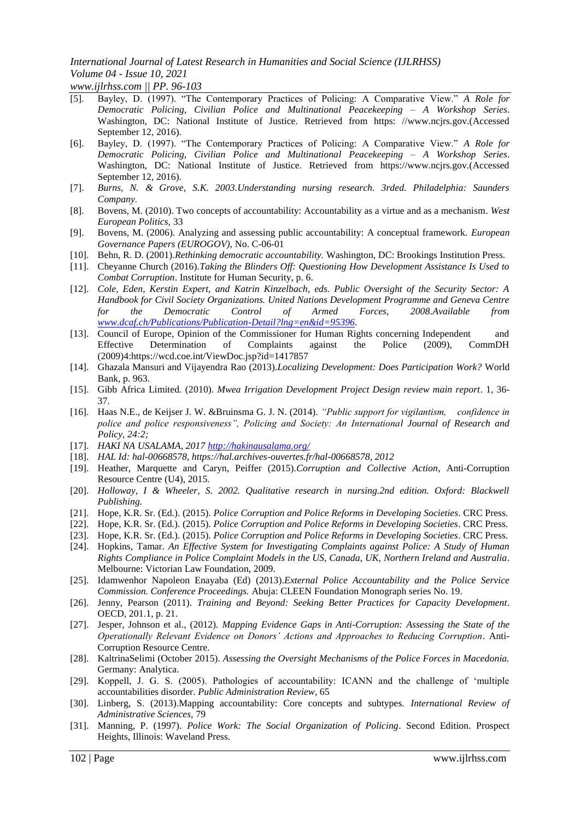*www.ijlrhss.com || PP. 96-103*

- [5]. Bayley, D. (1997). "The Contemporary Practices of Policing: A Comparative View." *A Role for Democratic Policing, Civilian Police and Multinational Peacekeeping – A Workshop Series*. Washington, DC: National Institute of Justice. Retrieved from https: //www.ncjrs.gov.(Accessed September 12, 2016).
- [6]. Bayley, D. (1997). "The Contemporary Practices of Policing: A Comparative View." *A Role for Democratic Policing, Civilian Police and Multinational Peacekeeping – A Workshop Series*. Washington, DC: National Institute of Justice. Retrieved from https://www.ncjrs.gov.(Accessed September 12, 2016).
- [7]. *Burns, N. & Grove, S.K. 2003.Understanding nursing research. 3rded. Philadelphia: Saunders Company.*
- [8]. Bovens, M. (2010). Two concepts of accountability: Accountability as a virtue and as a mechanism*. West European Politics,* 33
- [9]. Bovens, M. (2006). Analyzing and assessing public accountability: A conceptual framework. *European Governance Papers (EUROGOV),* No. C-06-01
- [10]. Behn, R. D. (2001).*Rethinking democratic accountability.* Washington, DC: Brookings Institution Press*.*
- [11]. Cheyanne Church (2016).*Taking the Blinders Off: Questioning How Development Assistance Is Used to Combat Corruption*. Institute for Human Security, p. 6.
- [12]. *Cole, Eden, Kerstin Expert, and Katrin Kinzelbach, eds. Public Oversight of the Security Sector: A Handbook for Civil Society Organizations. United Nations Development Programme and Geneva Centre for the Democratic Control of Armed Forces, 2008.Available from [www.dcaf.ch/Publications/Publication-Detail?lng=en&id=95396.](http://www.dcaf.ch/Publications/Publication-Detail?lng=en&id=95396)*
- [13]. Council of Europe, Opinion of the Commissioner for Human Rights concerning Independent and Effective Determination of Complaints against the Police (2009), CommDH (2009)4:https://wcd.coe.int/ViewDoc.jsp?id=1417857
- [14]. Ghazala Mansuri and Vijayendra Rao (2013).*Localizing Development: Does Participation Work?* World Bank, p. 963.
- [15]. Gibb Africa Limited. (2010). *Mwea Irrigation Development Project Design review main report*. 1, 36- 37.
- [16]. Haas N.E., de Keijser J. W. &Bruinsma G. J. N. (2014). *"Public support for vigilantism, confidence in police and police responsiveness", Policing and Society: An International Journal of Research and Policy, 24:2;*
- [17]. *HAKI NA USALAMA, 2017<http://hakinausalama.org/>*
- [18]. *HAL Id: hal-00668578, https://hal.archives-ouvertes.fr/hal-00668578, 2012*
- [19]. Heather, Marquette and Caryn, Peiffer (2015).*Corruption and Collective Action*, Anti-Corruption Resource Centre (U4), 2015.
- [20]. *Holloway, I & Wheeler, S. 2002. Qualitative research in nursing.2nd edition. Oxford: Blackwell Publishing.*
- [21]. Hope, K.R. Sr. (Ed.). (2015). *Police Corruption and Police Reforms in Developing Societies*. CRC Press.
- [22]. Hope, K.R. Sr. (Ed.). (2015). *Police Corruption and Police Reforms in Developing Societies*. CRC Press.
- [23]. Hope, K.R. Sr. (Ed.). (2015). *Police Corruption and Police Reforms in Developing Societies*. CRC Press.
- [24]. Hopkins, Tamar. *An Effective System for Investigating Complaints against Police: A Study of Human Rights Compliance in Police Complaint Models in the US, Canada, UK, Northern Ireland and Australia*. Melbourne: Victorian Law Foundation, 2009.
- [25]. Idamwenhor Napoleon Enayaba (Ed) (2013).*External Police Accountability and the Police Service Commission. Conference Proceedings.* Abuja: CLEEN Foundation Monograph series No. 19.
- [26]. Jenny, Pearson (2011). *Training and Beyond: Seeking Better Practices for Capacity Development*. OECD, 201.1, p. 21.
- [27]. Jesper, Johnson et al., (2012). *Mapping Evidence Gaps in Anti-Corruption: Assessing the State of the Operationally Relevant Evidence on Donors' Actions and Approaches to Reducing Corruption*. Anti-Corruption Resource Centre.
- [28]. KaltrinaSelimi (October 2015). *Assessing the Oversight Mechanisms of the Police Forces in Macedonia.*  Germany: Analytica.
- [29]. Koppell, J. G. S. (2005). Pathologies of accountability: ICANN and the challenge of "multiple accountabilities disorder. *Public Administration Review*, 65
- [30]. Linberg, S. (2013).Mapping accountability: Core concepts and subtypes. *International Review of Administrative Sciences,* 79
- [31]. Manning, P. (1997). *Police Work: The Social Organization of Policing*. Second Edition. Prospect Heights, Illinois: Waveland Press.